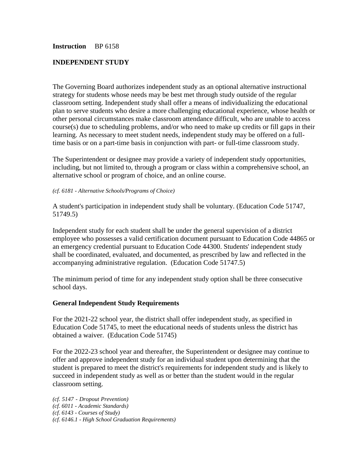### **Instruction** BP 6158

### **INDEPENDENT STUDY**

The Governing Board authorizes independent study as an optional alternative instructional strategy for students whose needs may be best met through study outside of the regular classroom setting. Independent study shall offer a means of individualizing the educational plan to serve students who desire a more challenging educational experience, whose health or other personal circumstances make classroom attendance difficult, who are unable to access course(s) due to scheduling problems, and/or who need to make up credits or fill gaps in their learning. As necessary to meet student needs, independent study may be offered on a fulltime basis or on a part-time basis in conjunction with part- or full-time classroom study.

The Superintendent or designee may provide a variety of independent study opportunities, including, but not limited to, through a program or class within a comprehensive school, an alternative school or program of choice, and an online course.

#### *(cf. 6181 - Alternative Schools/Programs of Choice)*

A student's participation in independent study shall be voluntary. (Education Code 51747, 51749.5)

Independent study for each student shall be under the general supervision of a district employee who possesses a valid certification document pursuant to Education Code 44865 or an emergency credential pursuant to Education Code 44300. Students' independent study shall be coordinated, evaluated, and documented, as prescribed by law and reflected in the accompanying administrative regulation. (Education Code 51747.5)

The minimum period of time for any independent study option shall be three consecutive school days.

#### **General Independent Study Requirements**

For the 2021-22 school year, the district shall offer independent study, as specified in Education Code 51745, to meet the educational needs of students unless the district has obtained a waiver. (Education Code 51745)

For the 2022-23 school year and thereafter, the Superintendent or designee may continue to offer and approve independent study for an individual student upon determining that the student is prepared to meet the district's requirements for independent study and is likely to succeed in independent study as well as or better than the student would in the regular classroom setting.

*(cf. 5147 - Dropout Prevention) (cf. 6011 - Academic Standards) (cf. 6143 - Courses of Study) (cf. 6146.1 - High School Graduation Requirements)*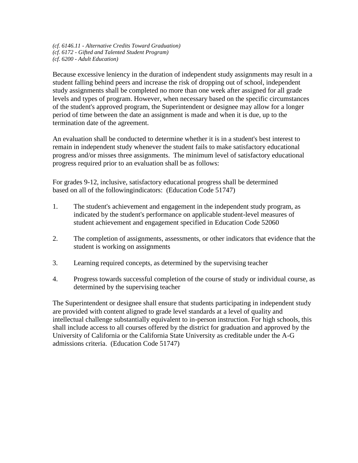*(cf. 6146.11 - Alternative Credits Toward Graduation) (cf. 6172 - Gifted and Talented Student Program) (cf. 6200 - Adult Education)*

Because excessive leniency in the duration of independent study assignments may result in a student falling behind peers and increase the risk of dropping out of school, independent study assignments shall be completed no more than one week after assigned for all grade levels and types of program. However, when necessary based on the specific circumstances of the student's approved program, the Superintendent or designee may allow for a longer period of time between the date an assignment is made and when it is due, up to the termination date of the agreement.

An evaluation shall be conducted to determine whether it is in a student's best interest to remain in independent study whenever the student fails to make satisfactory educational progress and/or misses three assignments. The minimum level of satisfactory educational progress required prior to an evaluation shall be as follows:

For grades 9-12, inclusive, satisfactory educational progress shall be determined based on all of the followingindicators: (Education Code 51747)

- 1. The student's achievement and engagement in the independent study program, as indicated by the student's performance on applicable student-level measures of student achievement and engagement specified in Education Code 52060
- 2. The completion of assignments, assessments, or other indicators that evidence that the student is working on assignments
- 3. Learning required concepts, as determined by the supervising teacher
- 4. Progress towards successful completion of the course of study or individual course, as determined by the supervising teacher

The Superintendent or designee shall ensure that students participating in independent study are provided with content aligned to grade level standards at a level of quality and intellectual challenge substantially equivalent to in-person instruction. For high schools, this shall include access to all courses offered by the district for graduation and approved by the University of California or the California State University as creditable under the A-G admissions criteria. (Education Code 51747)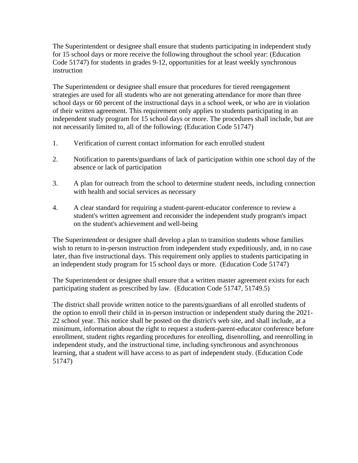The Superintendent or designee shall ensure that students participating in independent study for 15 school days or more receive the following throughout the school year: (Education Code 51747) for students in grades 9-12, opportunities for at least weekly synchronous instruction

The Superintendent or designee shall ensure that procedures for tiered reengagement strategies are used for all students who are not generating attendance for more than three school days or 60 percent of the instructional days in a school week, or who are in violation of their written agreement. This requirement only applies to students participating in an independent study program for 15 school days or more. The procedures shall include, but are not necessarily limited to, all of the following: (Education Code 51747)

- 1. Verification of current contact information for each enrolled student
- 2. Notification to parents/guardians of lack of participation within one school day of the absence or lack of participation
- 3. A plan for outreach from the school to determine student needs, including connection with health and social services as necessary
- 4. A clear standard for requiring a student-parent-educator conference to review a student's written agreement and reconsider the independent study program's impact on the student's achievement and well-being

The Superintendent or designee shall develop a plan to transition students whose families wish to return to in-person instruction from independent study expeditiously, and, in no case later, than five instructional days. This requirement only applies to students participating in an independent study program for 15 school days or more. (Education Code 51747)

The Superintendent or designee shall ensure that a written master agreement exists for each participating student as prescribed by law. (Education Code 51747, 51749.5)

The district shall provide written notice to the parents/guardians of all enrolled students of the option to enroll their child in in-person instruction or independent study during the 2021- 22 school year. This notice shall be posted on the district's web site, and shall include, at a minimum, information about the right to request a student-parent-educator conference before enrollment, student rights regarding procedures for enrolling, disenrolling, and reenrolling in independent study, and the instructional time, including synchronous and asynchronous learning, that a student will have access to as part of independent study. (Education Code 51747)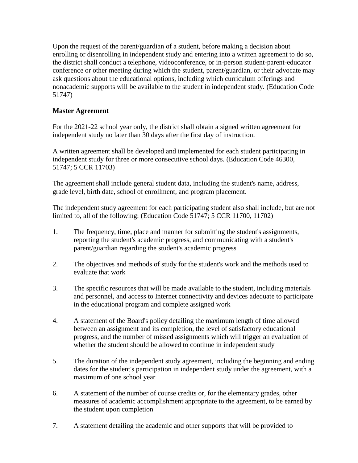Upon the request of the parent/guardian of a student, before making a decision about enrolling or disenrolling in independent study and entering into a written agreement to do so, the district shall conduct a telephone, videoconference, or in-person student-parent-educator conference or other meeting during which the student, parent/guardian, or their advocate may ask questions about the educational options, including which curriculum offerings and nonacademic supports will be available to the student in independent study. (Education Code 51747)

# **Master Agreement**

For the 2021-22 school year only, the district shall obtain a signed written agreement for independent study no later than 30 days after the first day of instruction.

A written agreement shall be developed and implemented for each student participating in independent study for three or more consecutive school days. (Education Code 46300, 51747; 5 CCR 11703)

The agreement shall include general student data, including the student's name, address, grade level, birth date, school of enrollment, and program placement.

The independent study agreement for each participating student also shall include, but are not limited to, all of the following: (Education Code 51747; 5 CCR 11700, 11702)

- 1. The frequency, time, place and manner for submitting the student's assignments, reporting the student's academic progress, and communicating with a student's parent/guardian regarding the student's academic progress
- 2. The objectives and methods of study for the student's work and the methods used to evaluate that work
- 3. The specific resources that will be made available to the student, including materials and personnel, and access to Internet connectivity and devices adequate to participate in the educational program and complete assigned work
- 4. A statement of the Board's policy detailing the maximum length of time allowed between an assignment and its completion, the level of satisfactory educational progress, and the number of missed assignments which will trigger an evaluation of whether the student should be allowed to continue in independent study
- 5. The duration of the independent study agreement, including the beginning and ending dates for the student's participation in independent study under the agreement, with a maximum of one school year
- 6. A statement of the number of course credits or, for the elementary grades, other measures of academic accomplishment appropriate to the agreement, to be earned by the student upon completion
- 7. A statement detailing the academic and other supports that will be provided to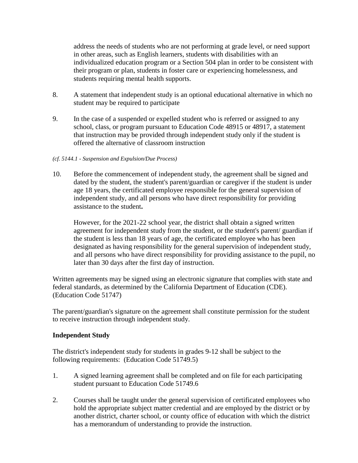address the needs of students who are not performing at grade level, or need support in other areas, such as English learners, students with disabilities with an individualized education program or a Section 504 plan in order to be consistent with their program or plan, students in foster care or experiencing homelessness, and students requiring mental health supports.

- 8. A statement that independent study is an optional educational alternative in which no student may be required to participate
- 9. In the case of a suspended or expelled student who is referred or assigned to any school, class, or program pursuant to Education Code 48915 or 48917, a statement that instruction may be provided through independent study only if the student is offered the alternative of classroom instruction

### *(cf. 5144.1 - Suspension and Expulsion/Due Process)*

10. Before the commencement of independent study, the agreement shall be signed and dated by the student, the student's parent/guardian or caregiver if the student is under age 18 years, the certificated employee responsible for the general supervision of independent study, and all persons who have direct responsibility for providing assistance to the student**.**

However, for the 2021-22 school year, the district shall obtain a signed written agreement for independent study from the student, or the student's parent/ guardian if the student is less than 18 years of age, the certificated employee who has been designated as having responsibility for the general supervision of independent study, and all persons who have direct responsibility for providing assistance to the pupil, no later than 30 days after the first day of instruction.

Written agreements may be signed using an electronic signature that complies with state and federal standards, as determined by the California Department of Education (CDE). (Education Code 51747)

The parent/guardian's signature on the agreement shall constitute permission for the student to receive instruction through independent study.

### **Independent Study**

The district's independent study for students in grades 9-12 shall be subject to the following requirements: (Education Code 51749.5)

- 1. A signed learning agreement shall be completed and on file for each participating student pursuant to Education Code 51749.6
- 2. Courses shall be taught under the general supervision of certificated employees who hold the appropriate subject matter credential and are employed by the district or by another district, charter school, or county office of education with which the district has a memorandum of understanding to provide the instruction.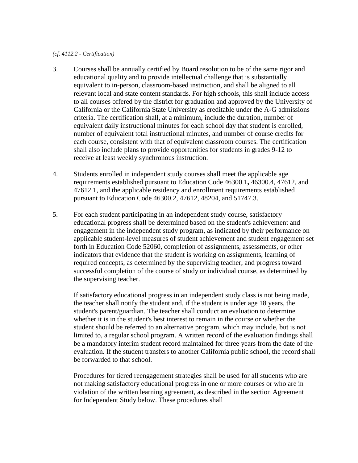#### *(cf. 4112.2 - Certification)*

- 3. Courses shall be annually certified by Board resolution to be of the same rigor and educational quality and to provide intellectual challenge that is substantially equivalent to in-person, classroom-based instruction, and shall be aligned to all relevant local and state content standards. For high schools, this shall include access to all courses offered by the district for graduation and approved by the University of California or the California State University as creditable under the A-G admissions criteria. The certification shall, at a minimum, include the duration, number of equivalent daily instructional minutes for each school day that student is enrolled, number of equivalent total instructional minutes, and number of course credits for each course, consistent with that of equivalent classroom courses. The certification shall also include plans to provide opportunities for students in grades 9-12 to receive at least weekly synchronous instruction.
- 4. Students enrolled in independent study courses shall meet the applicable age requirements established pursuant to Education Code 46300.1**,** 46300.4, 47612, and 47612.1, and the applicable residency and enrollment requirements established pursuant to Education Code 46300.2, 47612, 48204, and 51747.3.
- 5. For each student participating in an independent study course, satisfactory educational progress shall be determined based on the student's achievement and engagement in the independent study program, as indicated by their performance on applicable student-level measures of student achievement and student engagement set forth in Education Code 52060, completion of assignments, assessments, or other indicators that evidence that the student is working on assignments, learning of required concepts, as determined by the supervising teacher, and progress toward successful completion of the course of study or individual course, as determined by the supervising teacher.

If satisfactory educational progress in an independent study class is not being made, the teacher shall notify the student and, if the student is under age 18 years, the student's parent/guardian. The teacher shall conduct an evaluation to determine whether it is in the student's best interest to remain in the course or whether the student should be referred to an alternative program, which may include, but is not limited to, a regular school program. A written record of the evaluation findings shall be a mandatory interim student record maintained for three years from the date of the evaluation. If the student transfers to another California public school, the record shall be forwarded to that school.

Procedures for tiered reengagement strategies shall be used for all students who are not making satisfactory educational progress in one or more courses or who are in violation of the written learning agreement, as described in the section Agreement for Independent Study below. These procedures shall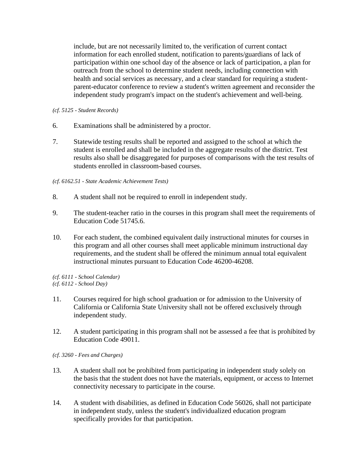include, but are not necessarily limited to, the verification of current contact information for each enrolled student, notification to parents/guardians of lack of participation within one school day of the absence or lack of participation, a plan for outreach from the school to determine student needs, including connection with health and social services as necessary, and a clear standard for requiring a studentparent-educator conference to review a student's written agreement and reconsider the independent study program's impact on the student's achievement and well-being.

- *(cf. 5125 - Student Records)*
- 6. Examinations shall be administered by a proctor.
- 7. Statewide testing results shall be reported and assigned to the school at which the student is enrolled and shall be included in the aggregate results of the district. Test results also shall be disaggregated for purposes of comparisons with the test results of students enrolled in classroom-based courses.

### *(cf. 6162.51 - State Academic Achievement Tests)*

- 8. A student shall not be required to enroll in independent study.
- 9. The student-teacher ratio in the courses in this program shall meet the requirements of Education Code 51745.6.
- 10. For each student, the combined equivalent daily instructional minutes for courses in this program and all other courses shall meet applicable minimum instructional day requirements, and the student shall be offered the minimum annual total equivalent instructional minutes pursuant to Education Code 46200-46208.

*(cf. 6111 - School Calendar) (cf. 6112 - School Day)*

- 11. Courses required for high school graduation or for admission to the University of California or California State University shall not be offered exclusively through independent study.
- 12. A student participating in this program shall not be assessed a fee that is prohibited by Education Code 49011.

*(cf. 3260 - Fees and Charges)*

- 13. A student shall not be prohibited from participating in independent study solely on the basis that the student does not have the materials, equipment, or access to Internet connectivity necessary to participate in the course.
- 14. A student with disabilities, as defined in Education Code 56026, shall not participate in independent study, unless the student's individualized education program specifically provides for that participation.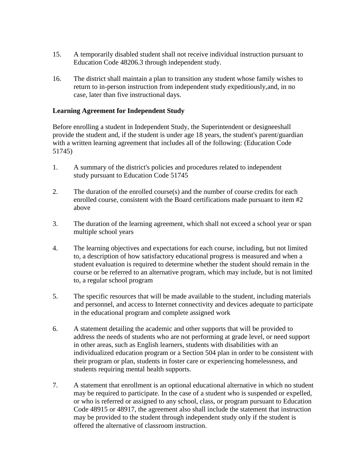- 15. A temporarily disabled student shall not receive individual instruction pursuant to Education Code 48206.3 through independent study.
- 16. The district shall maintain a plan to transition any student whose family wishes to return to in-person instruction from independent study expeditiously,and, in no case, later than five instructional days.

## **Learning Agreement for Independent Study**

Before enrolling a student in Independent Study, the Superintendent or designeeshall provide the student and, if the student is under age 18 years, the student's parent/guardian with a written learning agreement that includes all of the following: (Education Code 51745)

- 1. A summary of the district's policies and procedures related to independent study pursuant to Education Code 51745
- 2. The duration of the enrolled course(s) and the number of course credits for each enrolled course, consistent with the Board certifications made pursuant to item #2 above
- 3. The duration of the learning agreement, which shall not exceed a school year or span multiple school years
- 4. The learning objectives and expectations for each course, including, but not limited to, a description of how satisfactory educational progress is measured and when a student evaluation is required to determine whether the student should remain in the course or be referred to an alternative program, which may include, but is not limited to, a regular school program
- 5. The specific resources that will be made available to the student, including materials and personnel, and access to Internet connectivity and devices adequate to participate in the educational program and complete assigned work
- 6. A statement detailing the academic and other supports that will be provided to address the needs of students who are not performing at grade level, or need support in other areas, such as English learners, students with disabilities with an individualized education program or a Section 504 plan in order to be consistent with their program or plan, students in foster care or experiencing homelessness, and students requiring mental health supports.
- 7. A statement that enrollment is an optional educational alternative in which no student may be required to participate. In the case of a student who is suspended or expelled, or who is referred or assigned to any school, class, or program pursuant to Education Code 48915 or 48917, the agreement also shall include the statement that instruction may be provided to the student through independent study only if the student is offered the alternative of classroom instruction.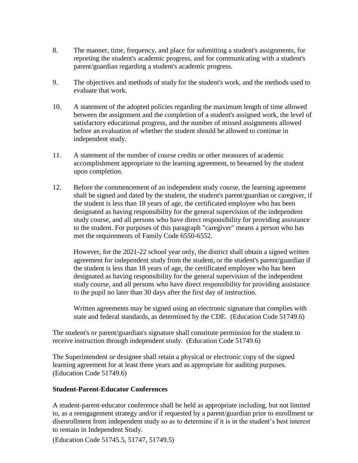- 8. The manner, time, frequency, and place for submitting a student's assignments, for reporting the student's academic progress, and for communicating with a student's parent/guardian regarding a student's academic progress.
- 9. The objectives and methods of study for the student's work, and the methods used to evaluate that work.
- 10. A statement of the adopted policies regarding the maximum length of time allowed between the assignment and the completion of a student's assigned work, the level of satisfactory educational progress, and the number of missed assignments allowed before an evaluation of whether the student should be allowed to continue in independent study.
- 11. A statement of the number of course credits or other measures of academic accomplishment appropriate to the learning agreement, to beearned by the student upon completion.
- 12. Before the commencement of an independent study course, the learning agreement shall be signed and dated by the student, the student's parent/guardian or caregiver, if the student is less than 18 years of age, the certificated employee who has been designated as having responsibility for the general supervision of the independent study course, and all persons who have direct responsibility for providing assistance to the student. For purposes of this paragraph "caregiver" means a person who has met the requirements of Family Code 6550-6552.

However, for the 2021-22 school year only, the district shall obtain a signed written agreement for independent study from the student, or the student's parent/guardian if the student is less than 18 years of age, the certificated employee who has been designated as having responsibility for the general supervision of the independent study course, and all persons who have direct responsibility for providing assistance to the pupil no later than 30 days after the first day of instruction.

Written agreements may be signed using an electronic signature that complies with state and federal standards, as determined by the CDE. (Education Code 51749.6)

The student's or parent/guardian's signature shall constitute permission for the student to receive instruction through independent study. (Education Code 51749.6)

The Superintendent or designee shall retain a physical or electronic copy of the signed learning agreement for at least three years and as appropriate for auditing purposes. (Education Code 51749.6)

### **Student-Parent-Educator Conferences**

A student-parent-educator conference shall be held as appropriate including, but not limited to, as a reengagement strategy and/or if requested by a parent/guardian prior to enrollment or disenrollment from independent study so as to determine if it is in the student's best interest to remain in Independent Study.

(Education Code 51745.5, 51747, 51749.5)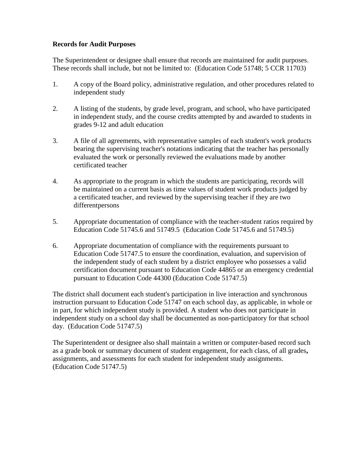### **Records for Audit Purposes**

The Superintendent or designee shall ensure that records are maintained for audit purposes. These records shall include, but not be limited to: (Education Code 51748; 5 CCR 11703)

- 1. A copy of the Board policy, administrative regulation, and other procedures related to independent study
- 2. A listing of the students, by grade level, program, and school, who have participated in independent study, and the course credits attempted by and awarded to students in grades 9-12 and adult education
- 3. A file of all agreements, with representative samples of each student's work products bearing the supervising teacher's notations indicating that the teacher has personally evaluated the work or personally reviewed the evaluations made by another certificated teacher
- 4. As appropriate to the program in which the students are participating, records will be maintained on a current basis as time values of student work products judged by a certificated teacher, and reviewed by the supervising teacher if they are two differentpersons
- 5. Appropriate documentation of compliance with the teacher-student ratios required by Education Code 51745.6 and 51749.5 (Education Code 51745.6 and 51749.5)
- 6. Appropriate documentation of compliance with the requirements pursuant to Education Code 51747.5 to ensure the coordination, evaluation, and supervision of the independent study of each student by a district employee who possesses a valid certification document pursuant to Education Code 44865 or an emergency credential pursuant to Education Code 44300 (Education Code 51747.5)

The district shall document each student's participation in live interaction and synchronous instruction pursuant to Education Code 51747 on each school day, as applicable, in whole or in part, for which independent study is provided. A student who does not participate in independent study on a school day shall be documented as non-participatory for that school day. (Education Code 51747.5)

The Superintendent or designee also shall maintain a written or computer-based record such as a grade book or summary document of student engagement, for each class, of all grades**,** assignments, and assessments for each student for independent study assignments. (Education Code 51747.5)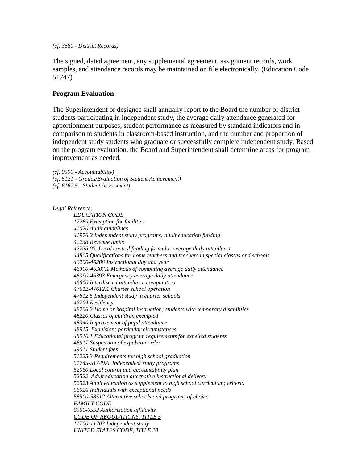*(cf. 3580 - District Records)*

The signed, dated agreement, any supplemental agreement, assignment records, work samples, and attendance records may be maintained on file electronically. (Education Code 51747)

### **Program Evaluation**

The Superintendent or designee shall annually report to the Board the number of district students participating in independent study, the average daily attendance generated for apportionment purposes, student performance as measured by standard indicators and in comparison to students in classroom-based instruction, and the number and proportion of independent study students who graduate or successfully complete independent study. Based on the program evaluation, the Board and Superintendent shall determine areas for program improvement as needed.

*(cf. 0500 - Accountability) (cf. 5121 - Grades/Evaluation of Student Achievement) (cf. 6162.5 - Student Assessment)*

*Legal Reference:*

*EDUCATION CODE 17289 Exemption for facilities 41020 Audit guidelines 41976.2 Independent study programs; adult education funding 42238 Revenue limits 42238.05 Local control funding formula; average daily attendance 44865 Qualifications for home teachers and teachers in special classes and schools 46200-46208 Instructional day and year 46300-46307.1 Methods of computing average daily attendance 46390-46393 Emergency average daily attendance 46600 Interdistrict attendance computation 47612-47612.1 Charter school operation 47612.5 Independent study in charter schools 48204 Residency 48206.3 Home or hospital instruction; students with temporary disabilities 48220 Classes of children exempted 48340 Improvement of pupil attendance 48915 Expulsion; particular circumstances 48916.1 Educational program requirements for expelled students 48917 Suspension of expulsion order 49011 Student fees 51225.3 Requirements for high school graduation 51745-51749.6 Independent study programs 52060 Local control and accountability plan 52522 Adult education alternative instructional delivery 52523 Adult education as supplement to high school curriculum; criteria 56026 Individuals with exceptional needs 58500-58512 Alternative schools and programs of choice FAMILY CODE 6550-6552 Authorization affidavits CODE OF REGULATIONS, TITLE 5 11700-11703 Independent study UNITED STATES CODE, TITLE 20*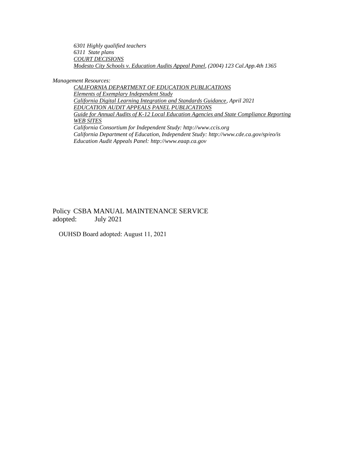*6301 Highly qualified teachers 6311 State plans COURT DECISIONS Modesto City Schools v. Education Audits Appeal Panel, (2004) 123 Cal.App.4th 1365*

*Management Resources:*

*CALIFORNIA DEPARTMENT OF EDUCATION PUBLICATIONS Elements of Exemplary Independent Study California Digital Learning Integration and Standards Guidance, April 2021 EDUCATION AUDIT APPEALS PANEL PUBLICATIONS Guide for Annual Audits of K-12 Local Education Agencies and State Compliance Reporting WEB SITES California Consortium for Independent Study: [http://www.ccis.org](http://www.ccis.org/) California Department of Education, Independent Study: <http://www.cde.ca.gov/sp/eo/is> Education Audit Appeals Panel: [http://www.eaap.ca.gov](http://www.eaap.ca.gov/)*

Policy CSBA MANUAL MAINTENANCE SERVICE adopted: July 2021

OUHSD Board adopted: August 11, 2021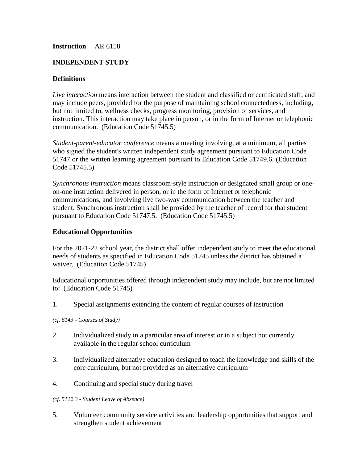### **Instruction** AR 6158

## **INDEPENDENT STUDY**

### **Definitions**

*Live interaction* means interaction between the student and classified or certificated staff, and may include peers, provided for the purpose of maintaining school connectedness, including, but not limited to, wellness checks, progress monitoring, provision of services, and instruction. This interaction may take place in person, or in the form of Internet or telephonic communication. (Education Code 51745.5)

*Student-parent-educator conference* means a meeting involving, at a minimum, all parties who signed the student's written independent study agreement pursuant to Education Code 51747 or the written learning agreement pursuant to Education Code 51749.6. (Education Code 51745.5)

*Synchronous instruction* means classroom-style instruction or designated small group or oneon-one instruction delivered in person, or in the form of Internet or telephonic communications, and involving live two-way communication between the teacher and student. Synchronous instruction shall be provided by the teacher of record for that student pursuant to Education Code 51747.5. (Education Code 51745.5)

### **Educational Opportunities**

For the 2021-22 school year, the district shall offer independent study to meet the educational needs of students as specified in Education Code 51745 unless the district has obtained a waiver. (Education Code 51745)

Educational opportunities offered through independent study may include, but are not limited to: (Education Code 51745)

1. Special assignments extending the content of regular courses of instruction

*(cf. 6143 - Courses of Study)*

- 2. Individualized study in a particular area of interest or in a subject not currently available in the regular school curriculum
- 3. Individualized alternative education designed to teach the knowledge and skills of the core curriculum, but not provided as an alternative curriculum
- 4. Continuing and special study during travel
- *(cf. 5112.3 - Student Leave of Absence)*
- 5. Volunteer community service activities and leadership opportunities that support and strengthen student achievement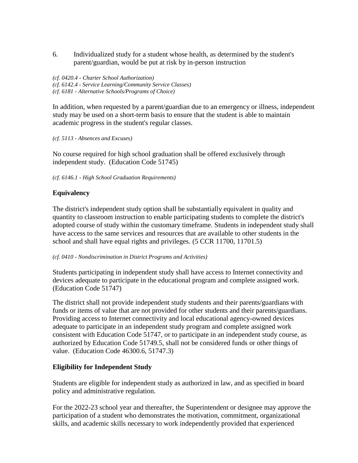6. Individualized study for a student whose health, as determined by the student's parent/guardian, would be put at risk by in-person instruction

*(cf. 0420.4 - Charter School Authorization) (cf. 6142.4 - Service Learning/Community Service Classes) (cf. 6181 - Alternative Schools/Programs of Choice)*

In addition, when requested by a parent/guardian due to an emergency or illness, independent study may be used on a short-term basis to ensure that the student is able to maintain academic progress in the student's regular classes.

*(cf. 5113 - Absences and Excuses)*

No course required for high school graduation shall be offered exclusively through independent study. (Education Code 51745)

*(cf. 6146.1 - High School Graduation Requirements)*

# **Equivalency**

The district's independent study option shall be substantially equivalent in quality and quantity to classroom instruction to enable participating students to complete the district's adopted course of study within the customary timeframe. Students in independent study shall have access to the same services and resources that are available to other students in the school and shall have equal rights and privileges. (5 CCR 11700, 11701.5)

*(cf. 0410 - Nondiscrimination in District Programs and Activities)*

Students participating in independent study shall have access to Internet connectivity and devices adequate to participate in the educational program and complete assigned work. (Education Code 51747)

The district shall not provide independent study students and their parents/guardians with funds or items of value that are not provided for other students and their parents/guardians. Providing access to Internet connectivity and local educational agency-owned devices adequate to participate in an independent study program and complete assigned work consistent with Education Code 51747, or to participate in an independent study course, as authorized by Education Code 51749.5, shall not be considered funds or other things of value. (Education Code 46300.6, 51747.3)

## **Eligibility for Independent Study**

Students are eligible for independent study as authorized in law, and as specified in board policy and administrative regulation.

For the 2022-23 school year and thereafter, the Superintendent or designee may approve the participation of a student who demonstrates the motivation, commitment, organizational skills, and academic skills necessary to work independently provided that experienced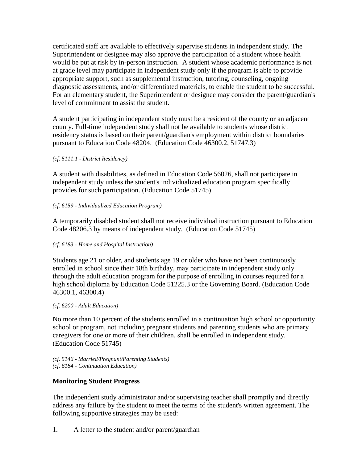certificated staff are available to effectively supervise students in independent study. The Superintendent or designee may also approve the participation of a student whose health would be put at risk by in-person instruction. A student whose academic performance is not at grade level may participate in independent study only if the program is able to provide appropriate support, such as supplemental instruction, tutoring, counseling, ongoing diagnostic assessments, and/or differentiated materials, to enable the student to be successful. For an elementary student, the Superintendent or designee may consider the parent/guardian's level of commitment to assist the student.

A student participating in independent study must be a resident of the county or an adjacent county. Full-time independent study shall not be available to students whose district residency status is based on their parent/guardian's employment within district boundaries pursuant to Education Code 48204. (Education Code 46300.2, 51747.3)

### *(cf. 5111.1 - District Residency)*

A student with disabilities, as defined in Education Code 56026, shall not participate in independent study unless the student's individualized education program specifically provides for such participation. (Education Code 51745)

### *(cf. 6159 - Individualized Education Program)*

A temporarily disabled student shall not receive individual instruction pursuant to Education Code 48206.3 by means of independent study. (Education Code 51745)

### *(cf. 6183 - Home and Hospital Instruction)*

Students age 21 or older, and students age 19 or older who have not been continuously enrolled in school since their 18th birthday, may participate in independent study only through the adult education program for the purpose of enrolling in courses required for a high school diploma by Education Code 51225.3 or the Governing Board. (Education Code 46300.1, 46300.4)

#### *(cf. 6200 - Adult Education)*

No more than 10 percent of the students enrolled in a continuation high school or opportunity school or program, not including pregnant students and parenting students who are primary caregivers for one or more of their children, shall be enrolled in independent study. (Education Code 51745)

*(cf. 5146 - Married/Pregnant/Parenting Students) (cf. 6184 - Continuation Education)*

### **Monitoring Student Progress**

The independent study administrator and/or supervising teacher shall promptly and directly address any failure by the student to meet the terms of the student's written agreement. The following supportive strategies may be used:

1. A letter to the student and/or parent/guardian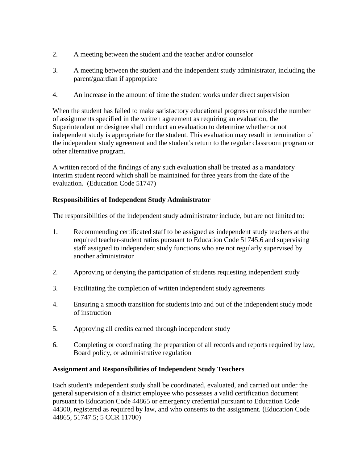- 2. A meeting between the student and the teacher and/or counselor
- 3. A meeting between the student and the independent study administrator, including the parent/guardian if appropriate
- 4. An increase in the amount of time the student works under direct supervision

When the student has failed to make satisfactory educational progress or missed the number of assignments specified in the written agreement as requiring an evaluation, the Superintendent or designee shall conduct an evaluation to determine whether or not independent study is appropriate for the student. This evaluation may result in termination of the independent study agreement and the student's return to the regular classroom program or other alternative program.

A written record of the findings of any such evaluation shall be treated as a mandatory interim student record which shall be maintained for three years from the date of the evaluation. (Education Code 51747)

# **Responsibilities of Independent Study Administrator**

The responsibilities of the independent study administrator include, but are not limited to:

- 1. Recommending certificated staff to be assigned as independent study teachers at the required teacher-student ratios pursuant to Education Code 51745.6 and supervising staff assigned to independent study functions who are not regularly supervised by another administrator
- 2. Approving or denying the participation of students requesting independent study
- 3. Facilitating the completion of written independent study agreements
- 4. Ensuring a smooth transition for students into and out of the independent study mode of instruction
- 5. Approving all credits earned through independent study
- 6. Completing or coordinating the preparation of all records and reports required by law, Board policy, or administrative regulation

## **Assignment and Responsibilities of Independent Study Teachers**

Each student's independent study shall be coordinated, evaluated, and carried out under the general supervision of a district employee who possesses a valid certification document pursuant to Education Code 44865 or emergency credential pursuant to Education Code 44300, registered as required by law, and who consents to the assignment. (Education Code 44865, 51747.5; 5 CCR 11700)